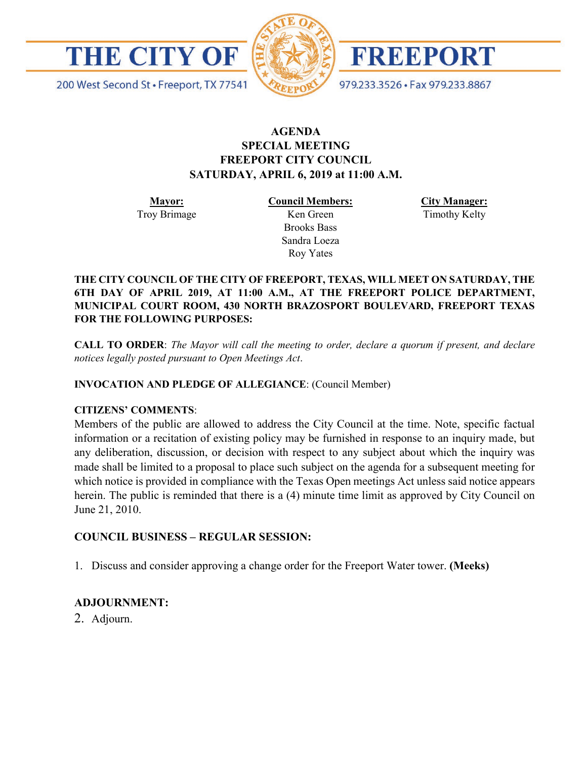



FREEPORT

979.233.3526 · Fax 979.233.8867

200 West Second St · Freeport, TX 77541

## **AGENDA SPECIAL MEETING FREEPORT CITY COUNCIL SATURDAY, APRIL 6, 2019 at 11:00 A.M.**

**Mayor:** Troy Brimage **Council Members:** Ken Green

> Brooks Bass Sandra Loeza Roy Yates

**City Manager:**

Timothy Kelty

**THE CITY COUNCIL OF THE CITY OF FREEPORT, TEXAS, WILL MEET ON SATURDAY, THE 6TH DAY OF APRIL 2019, AT 11:00 A.M., AT THE FREEPORT POLICE DEPARTMENT, MUNICIPAL COURT ROOM, 430 NORTH BRAZOSPORT BOULEVARD, FREEPORT TEXAS FOR THE FOLLOWING PURPOSES:**

**CALL TO ORDER**: *The Mayor will call the meeting to order, declare a quorum if present, and declare notices legally posted pursuant to Open Meetings Act*.

**INVOCATION AND PLEDGE OF ALLEGIANCE**: (Council Member)

## **CITIZENS' COMMENTS**:

Members of the public are allowed to address the City Council at the time. Note, specific factual information or a recitation of existing policy may be furnished in response to an inquiry made, but any deliberation, discussion, or decision with respect to any subject about which the inquiry was made shall be limited to a proposal to place such subject on the agenda for a subsequent meeting for which notice is provided in compliance with the Texas Open meetings Act unless said notice appears herein. The public is reminded that there is a (4) minute time limit as approved by City Council on June 21, 2010.

## **COUNCIL BUSINESS – REGULAR SESSION:**

1. Discuss and consider approving a change order for the Freeport Water tower. **(Meeks)**

## **ADJOURNMENT:**

2. Adjourn.